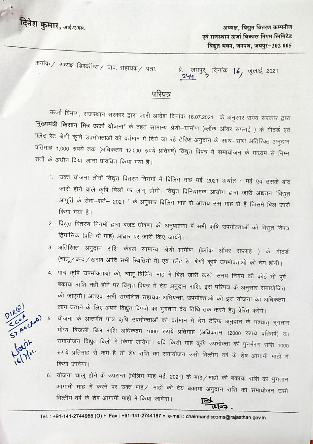

अध्यक्ष, विद्युत वितरण कम्पनीज<br>एवं राजस्थान ऊर्जा विकास निगम लिमिटेड विद्युत भवन, जनपथ, जयपुर-302 005

क्रमांक / अध्यक्ष डिस्कॉम्स / प्राव. सहायक / पत्रा.  $\vec{x}$ . जयपुर,

दिनांक  $16, \frac{1}{2}$ जुलाई, 2021

## परिपत्र

ऊर्जा विभाग, राजस्थान सरकार द्वारा जारी आदेश दिनांक 16.07.2021 के अनुसार राज्य सरकार द्वारा "मुख्यमंत्री किसान मित्र ऊर्जा योजना" के तहत सामान्य श्रेणी-ग्रामीण (ब्लॉक ऑवर सप्लाई ) के मीटर्ड एवं फ्लैट रेट श्रेणी कृषि उपभोक्ताओं को वर्तमान में दिये जा रहे टैरिफ अनुदान के साथ–साथ अतिरिक्त अनुदान प्रतिमाह 1,000 रुपये तक (अधिकतम 12,000 रुपये प्रतिवर्ष) विद्युत विपत्र में समायोजन के माध्यम से निम्न<br>शर्तो के अधीन दिया जाना प्रावधित किया गया है।

- 1. उक्त योजना तीनों विद्युत वितरण निगमों में बिलिंग माह मई, 2021 अर्थात 1 मई एवं उसके बाद जारी होने वाले कृषि बिलों पर लागू होगी। विद्युत विनियामक आयोग द्वारा जारी अद्यतन "विद्युत आपूर्ति के सेवा—शर्ते— 2021 " के अनुसार बिलिंग माह से आशय उस माह से है जिसमें बिल जारी<br>किया गया है।
- 2. विद्युत वितरण निगमों द्वारा बजट घोषणा की अनुपालना में सभी कृषि उपभोक्ताओं को विद्युत विपत्र द्विमासिक (प्रति दो माह) आधार पर जारी किए जायेंगे।
- 3. अतिरिक्त अनुदान राशि केवल सामान्य श्रेणी—ग्रामीण (ब्लॉक ऑवर सप्लाई ) के मीटर्ड (चालू/ बन्द/खराब आदि सभी स्थितियों में) एवं पलैट रेट श्रेणी कृषि उपभोक्ताओं को देय होगी।
- 4. पात्र कृषि उपभोक्ताओं को, चालू बिलिंग माह में बिल जारी करते समय निगम की कोई भी पूर्व बकाया राशि नहीं होने पर विद्युत विपत्र में देय अनुदान राशि, इस परिपत्र के अनुसार समायोजित की जाएगी। अतएव, सभी सम्बन्धित सहायक अभियन्ता, उपभोक्ताओं को इस योजना का अधिकतम लाभ उठाने के लिए अपने विद्युत विपत्रों का भुगतान देय तिथि तक करने हेतु प्रेरित करेंगे।
- 5. योजना के अन्तर्गत पात्र कृषि उपभोक्ताओं को वर्तमान में देय टैरिफ अनुदान के पश्चात् भुगतान योग्य बिजली बिल राशि अधिकतम 1000 रूपये प्रतिमाह (अधिकतम 12000 रूपये प्रतिवर्ष) का समायोजन विद्युत बिलों में किया जायेगा। यदि किसी माह कृषि उपभोक्ता की पुनर्भरण राशि 1000 रूपये प्रतिमाह से कम है तो शेष राशि का समायोजन उसी वित्तीय वर्ष के शेष आगामी माहों में
- 6. योजना चालू होने के उपरान्त (बिलिंग माह मई, 2021) के माह ⁄ माहों की बकाया राशि का भुगतान<br>आगामी माह में करने पर उक्त माह ⁄ माहों की देय बकाया अनुदान राशि का समायोजन उसी वित्तीय वर्ष के शेष आगामी माहों में किया जावेगा।<br>बिल्कि



Tel.: +91-141-2744965 (O) • Fax: +91-141-2744187 • e-mail: chairmandiscoms@rajasthan.gov.in

 $\begin{pmatrix} 1 & 1 & 1 \ 1 & 1 & 1 \end{pmatrix}$  for  $\begin{pmatrix} 1 & 1 & 1 \ 1 & 1 & 1 \end{pmatrix}$  for  $\begin{pmatrix} 1 & 1 & 1 \ 1 & 1 & 1 \end{pmatrix}$  for  $\begin{pmatrix} 1 & 1 & 1 \ 1 & 1 & 1 \end{pmatrix}$  for  $\begin{pmatrix} 1 & 1 & 1 \ 1 & 1 & 1 \end{pmatrix}$  for  $\begin{pmatrix} 1 & 1 & 1 \ 1 & 1 & 1 \end{pmatrix}$  for  $\begin{pm$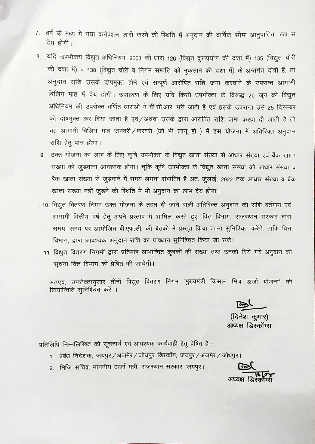- 7. वर्ष के मध्य में नया कनेक्शन जारी करने की रिथति में अनुदान की वार्षिक सीमा आनुपातिक रूप से देय होगी।
- 8. यदि उपभोक्ता विद्युत अधिनियम-2003 की धारा 126 (विद्युत दुरूपयोग की दशा में) 135 (विद्युत चोरी की दशा में) व 138 (विद्युत चोरी व निगम सम्पत्ति को नुकसान की दशा में) के अन्तर्गत दोषी हैं, तो अनुदान राशि उसके दोषमुक्त होने एवं सम्पूर्ण आरोपित राशि जमा करवाने के उपरान्त आगामी बिलिंग माह में देय होगी। उदाहरण के लिए यदि किसी उपभोक्ता के विरूद्ध 20 जून को विद्युत अधिनियम की उपरोक्त वर्णित धाराओं में वी.सी.आर. भरी जाती है एवं इसके उपरान्त उसे 25 दिसम्बर को दोषमुक्त कर दिया जाता है एवं/अथवा उसके द्वारा आरोपित राशि जमा करवा दी जाती है तो वह आगामी बिलिंग माह जनवरी/फरवरी (जो भी लागू हो) में इस योजना में अतिरिक्त अनुदान राशि हेतु पात्र होगा।
	- 9. उक्त योजना का लाभ के लिए कृषि उपभोक्ता के विद्युत खाता संख्या से आधार संख्या एवं बैंक खाता संख्या को जुड़वाना आवश्यक होगा। चूंकि कृषि उपभोक्ता के विद्युत खाता संख्या को आधार संख्या व बैंक खाता संख्या से जुड़वाने में समय लगना संभावित है अतः जुलाई, 2022 तक आधार संख्या व बैंक खाता संख्या नहीं जुड़ने की स्थिति में भी अनुदान का लाभ देय होगा।
	- 10. विद्युत वितरण निगम उक्त योजना के तहत दी जाने वाली अतिरिक्त अनुदान की राशि वर्तमान एवं आगामी वित्तीय वर्ष हेतु अपने प्रस्ताव में शामिल करते हुए, वित्त विभाग, राजस्थान सरकार द्वारा समय-समय पर आयोजित बी.एफ.सी. की बैठको में प्रस्तुत किया जाना सुनिश्चित करेंगे, ताकि वित्त विभाग, द्वारा आवश्यक अनुदान राशि का प्रावधान सुनिश्चित किया जा सके।
	- 11. विद्युत वितरण निगमों द्वारा प्रतिमाह लाभान्वित कृषकों की संख्या तथा उनको दिये गये अनुदान की सूचना वित्त विभाग को प्रेषित की जायेगी।

अतएव, उपरोक्तानुसार तीनों विद्युत वितरण निगम "मुख्यमंत्री किसान मित्र ऊर्जा योजना" की क्रियान्विति सुनिश्चित करें ।

ستحر

(दिनेश कमार) अध्यक्ष डिस्कॉम्स

प्रतिलिपि निम्नलिखित को सूचनार्थ एवं आवश्यक कार्यवाही हेतु प्रेषित है:-

- 1. प्रबंध निदेशक, जयपुर/अजमेर/जोधपुर डिस्कॉम, जयपुर/अजमेर/जोधपुर।
- 2. निजि सचिव, माननीय ऊर्जा मंत्री, राजस्थान सरकार, जयपुर।